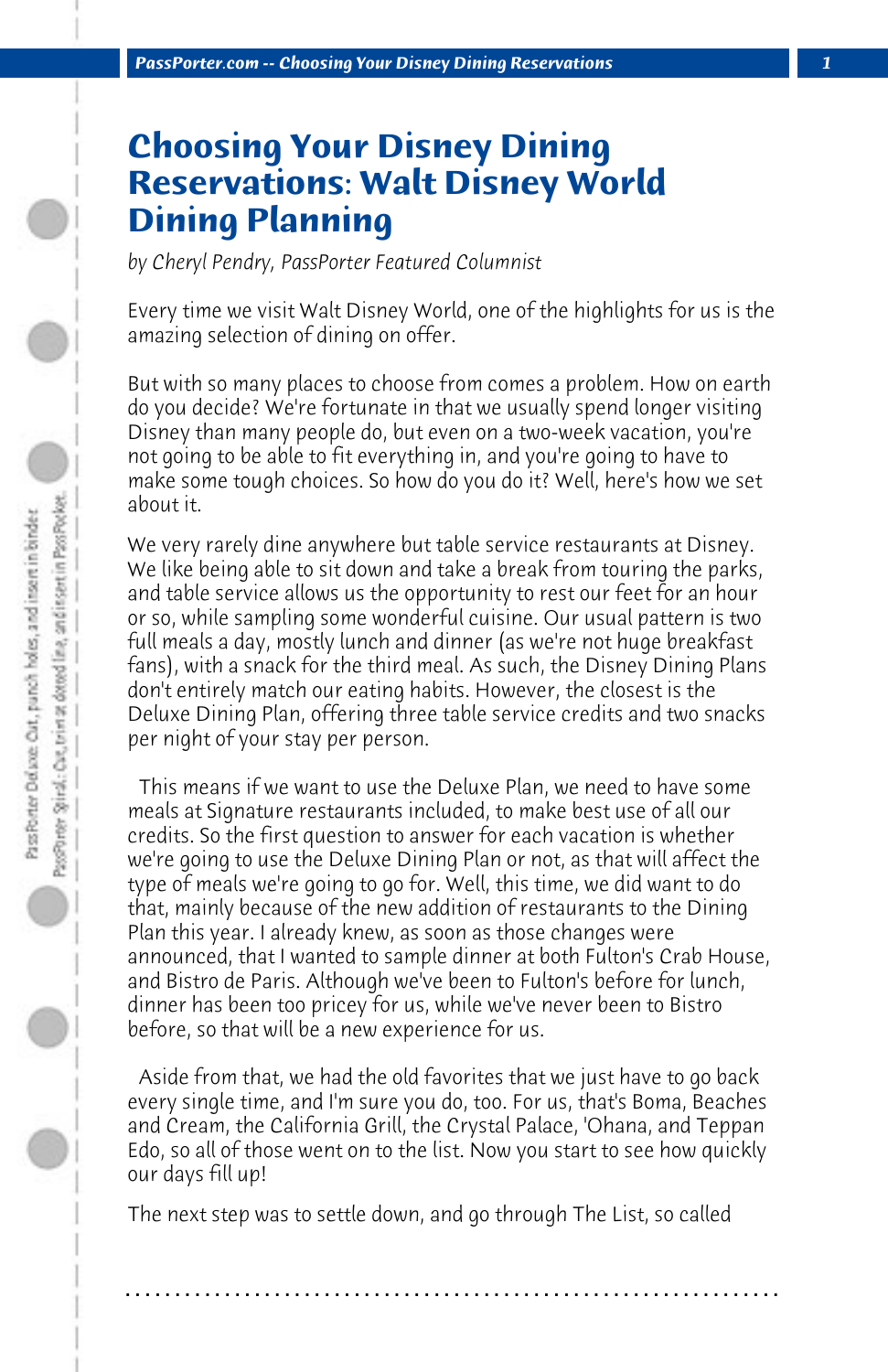## **Choosing Your Disney Dining Reservations: Walt Disney World Dining Planning**

*by Cheryl Pendry, PassPorter Featured Columnist*

Every time we visit Walt Disney World, one of the highlights for us is the amazing selection of dining on offer.

But with so many places to choose from comes a problem. How on earth do you decide? We're fortunate in that we usually spend longer visiting Disney than many people do, but even on a two-week vacation, you're not going to be able to fit everything in, and you're going to have to make some tough choices. So how do you do it? Well, here's how we set about it.

We very rarely dine anywhere but table service restaurants at Disney. We like being able to sit down and take a break from touring the parks, and table service allows us the opportunity to rest our feet for an hour or so, while sampling some wonderful cuisine. Our usual pattern is two full meals a day, mostly lunch and dinner (as we're not huge breakfast fans), with a snack for the third meal. As such, the Disney Dining Plans don't entirely match our eating habits. However, the closest is the Deluxe Dining Plan, offering three table service credits and two snacks per night of your stay per person.

 This means if we want to use the Deluxe Plan, we need to have some meals at Signature restaurants included, to make best use of all our credits. So the first question to answer for each vacation is whether we're going to use the Deluxe Dining Plan or not, as that will affect the type of meals we're going to go for. Well, this time, we did want to do that, mainly because of the new addition of restaurants to the Dining Plan this year. I already knew, as soon as those changes were announced, that I wanted to sample dinner at both Fulton's Crab House, and Bistro de Paris. Although we've been to Fulton's before for lunch, dinner has been too pricey for us, while we've never been to Bistro before, so that will be a new experience for us.

 Aside from that, we had the old favorites that we just have to go back every single time, and I'm sure you do, too. For us, that's Boma, Beaches and Cream, the California Grill, the Crystal Palace, 'Ohana, and Teppan Edo, so all of those went on to the list. Now you start to see how quickly our days fill up!

The next step was to settle down, and go through The List, so called

**. . . . . . . . . . . . . . . . . . . . . . . . . . . . . . . . . . . . . . . . . . . . . . . . . . . . . . . . . . . . . . . . . .**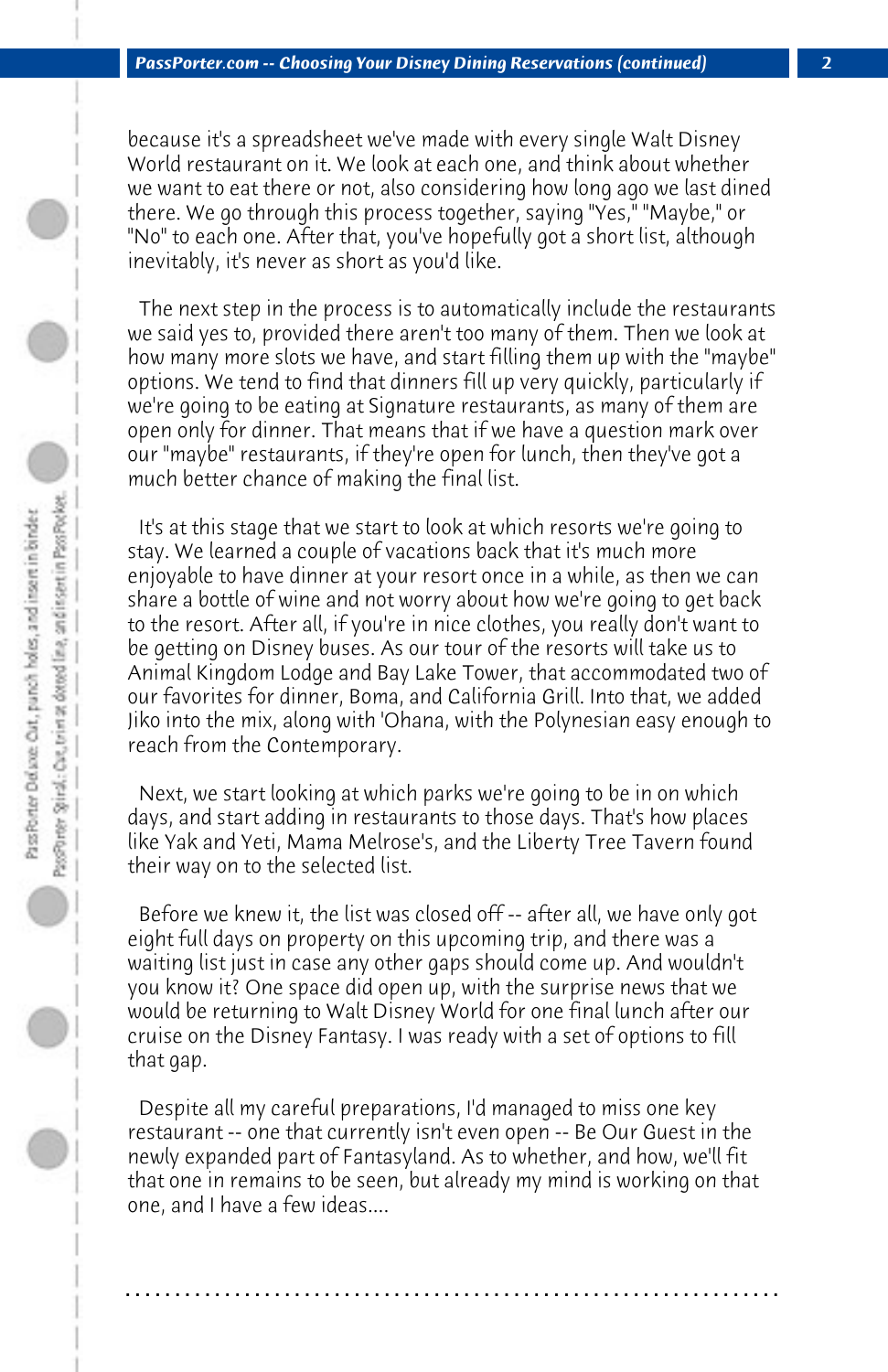because it's a spreadsheet we've made with every single Walt Disney World restaurant on it. We look at each one, and think about whether we want to eat there or not, also considering how long ago we last dined there. We go through this process together, saying "Yes," "Maybe," or "No" to each one. After that, you've hopefully got a short list, although inevitably, it's never as short as you'd like.

 The next step in the process is to automatically include the restaurants we said yes to, provided there aren't too many of them. Then we look at how many more slots we have, and start filling them up with the "maybe" options. We tend to find that dinners fill up very quickly, particularly if we're going to be eating at Signature restaurants, as many of them are open only for dinner. That means that if we have a question mark over our "maybe" restaurants, if they're open for lunch, then they've got a much better chance of making the final list.

 It's at this stage that we start to look at which resorts we're going to stay. We learned a couple of vacations back that it's much more enjoyable to have dinner at your resort once in a while, as then we can share a bottle of wine and not worry about how we're going to get back to the resort. After all, if you're in nice clothes, you really don't want to be getting on Disney buses. As our tour of the resorts will take us to Animal Kingdom Lodge and Bay Lake Tower, that accommodated two of our favorites for dinner, Boma, and California Grill. Into that, we added Jiko into the mix, along with 'Ohana, with the Polynesian easy enough to reach from the Contemporary.

 Next, we start looking at which parks we're going to be in on which days, and start adding in restaurants to those days. That's how places like Yak and Yeti, Mama Melrose's, and the Liberty Tree Tavern found their way on to the selected list.

 Before we knew it, the list was closed off -- after all, we have only got eight full days on property on this upcoming trip, and there was a waiting list just in case any other gaps should come up. And wouldn't you know it? One space did open up, with the surprise news that we would be returning to Walt Disney World for one final lunch after our cruise on the Disney Fantasy. I was ready with a set of options to fill that gap.

 Despite all my careful preparations, I'd managed to miss one key restaurant -- one that currently isn't even open -- Be Our Guest in the newly expanded part of Fantasyland. As to whether, and how, we'll fit that one in remains to be seen, but already my mind is working on that one, and I have a few ideas....

**. . . . . . . . . . . . . . . . . . . . . . . . . . . . . . . . . . . . . . . . . . . . . . . . . . . . . . . . . . . . . . . . . .**